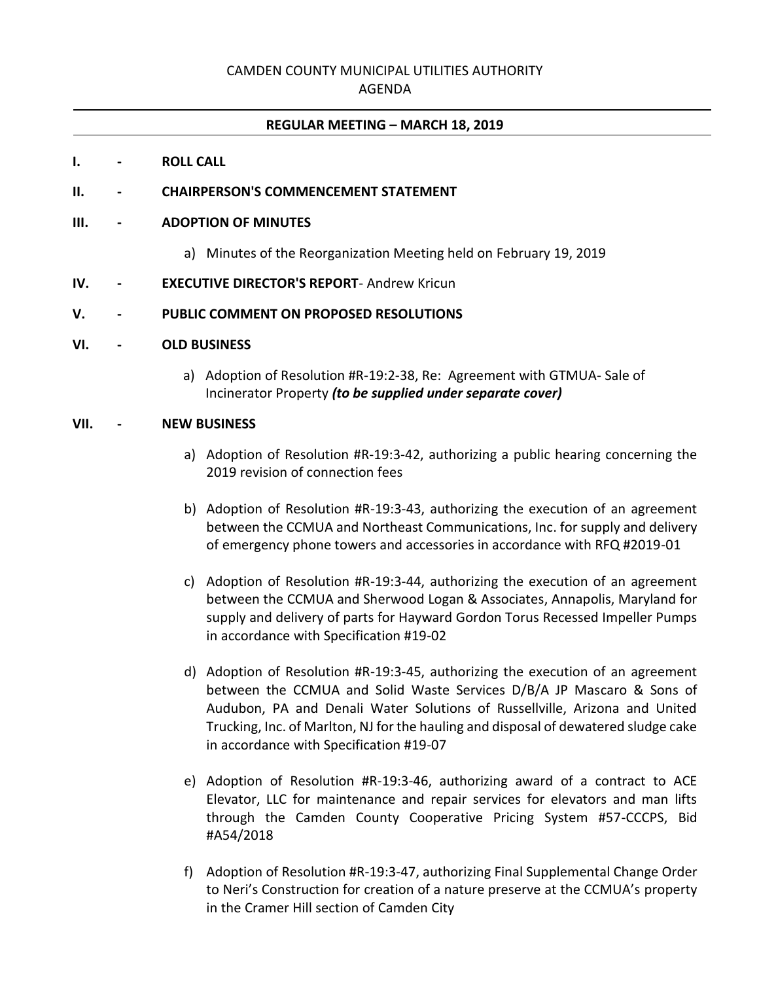# CAMDEN COUNTY MUNICIPAL UTILITIES AUTHORITY

## AGENDA

## **REGULAR MEETING – MARCH 18, 2019**

#### **I. - ROLL CALL**

## **II. - CHAIRPERSON'S COMMENCEMENT STATEMENT**

#### **III. - ADOPTION OF MINUTES**

a) Minutes of the Reorganization Meeting held on February 19, 2019

#### **IV. - EXECUTIVE DIRECTOR'S REPORT**- Andrew Kricun

#### **V. - PUBLIC COMMENT ON PROPOSED RESOLUTIONS**

#### **VI. - OLD BUSINESS**

a) Adoption of Resolution #R-19:2-38, Re: Agreement with GTMUA- Sale of Incinerator Property *(to be supplied under separate cover)*

## **VII. - NEW BUSINESS**

- a) Adoption of Resolution #R-19:3-42, authorizing a public hearing concerning the 2019 revision of connection fees
- b) Adoption of Resolution #R-19:3-43, authorizing the execution of an agreement between the CCMUA and Northeast Communications, Inc. for supply and delivery of emergency phone towers and accessories in accordance with RFQ #2019-01
- c) Adoption of Resolution #R-19:3-44, authorizing the execution of an agreement between the CCMUA and Sherwood Logan & Associates, Annapolis, Maryland for supply and delivery of parts for Hayward Gordon Torus Recessed Impeller Pumps in accordance with Specification #19-02
- d) Adoption of Resolution #R-19:3-45, authorizing the execution of an agreement between the CCMUA and Solid Waste Services D/B/A JP Mascaro & Sons of Audubon, PA and Denali Water Solutions of Russellville, Arizona and United Trucking, Inc. of Marlton, NJ for the hauling and disposal of dewatered sludge cake in accordance with Specification #19-07
- e) Adoption of Resolution #R-19:3-46, authorizing award of a contract to ACE Elevator, LLC for maintenance and repair services for elevators and man lifts through the Camden County Cooperative Pricing System #57-CCCPS, Bid #A54/2018
- f) Adoption of Resolution #R-19:3-47, authorizing Final Supplemental Change Order to Neri's Construction for creation of a nature preserve at the CCMUA's property in the Cramer Hill section of Camden City